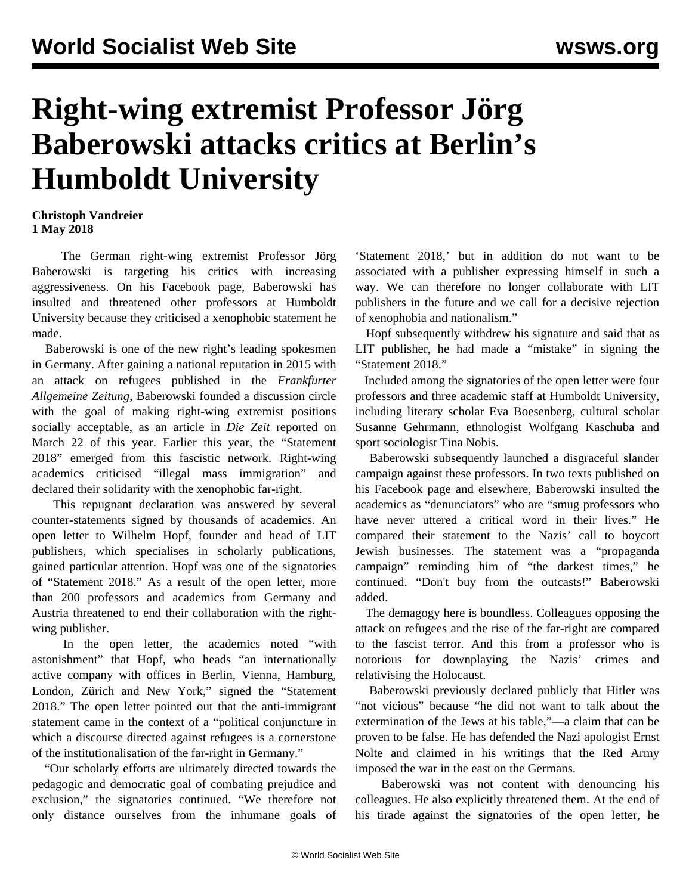## **Right-wing extremist Professor Jörg Baberowski attacks critics at Berlin's Humboldt University**

## **Christoph Vandreier 1 May 2018**

 The German right-wing extremist Professor Jörg Baberowski is targeting his critics with increasing aggressiveness. On his Facebook page, Baberowski has insulted and threatened other professors at Humboldt University because they criticised a xenophobic statement he made.

 Baberowski is one of the new right's leading spokesmen in Germany. After gaining a national reputation in 2015 with an attack on refugees published in the *Frankfurter Allgemeine Zeitung*, Baberowski founded a discussion circle with the goal of making right-wing extremist positions socially acceptable, as an article in *Die Zeit* reported on March 22 of this year. Earlier this year, the "Statement 2018" emerged from this fascistic network. Right-wing academics criticised "illegal mass immigration" and declared their solidarity with the xenophobic far-right.

 This repugnant declaration was answered by several counter-statements signed by thousands of academics. An open letter to Wilhelm Hopf, founder and head of LIT publishers, which specialises in scholarly publications, gained particular attention. Hopf was one of the signatories of "Statement 2018." As a result of the open letter, more than 200 professors and academics from Germany and Austria threatened to end their collaboration with the rightwing publisher.

 In the open letter, the academics noted "with astonishment" that Hopf, who heads "an internationally active company with offices in Berlin, Vienna, Hamburg, London, Zürich and New York," signed the "Statement 2018." The open letter pointed out that the anti-immigrant statement came in the context of a "political conjuncture in which a discourse directed against refugees is a cornerstone of the institutionalisation of the far-right in Germany."

 "Our scholarly efforts are ultimately directed towards the pedagogic and democratic goal of combating prejudice and exclusion," the signatories continued. "We therefore not only distance ourselves from the inhumane goals of 'Statement 2018,' but in addition do not want to be associated with a publisher expressing himself in such a way. We can therefore no longer collaborate with LIT publishers in the future and we call for a decisive rejection of xenophobia and nationalism."

 Hopf subsequently withdrew his signature and said that as LIT publisher, he had made a "mistake" in signing the "Statement 2018."

 Included among the signatories of the open letter were four professors and three academic staff at Humboldt University, including literary scholar Eva Boesenberg, cultural scholar Susanne Gehrmann, ethnologist Wolfgang Kaschuba and sport sociologist Tina Nobis.

 Baberowski subsequently launched a disgraceful slander campaign against these professors. In two texts published on his Facebook page and elsewhere, Baberowski insulted the academics as "denunciators" who are "smug professors who have never uttered a critical word in their lives." He compared their statement to the Nazis' call to boycott Jewish businesses. The statement was a "propaganda campaign" reminding him of "the darkest times," he continued. "Don't buy from the outcasts!" Baberowski added.

 The demagogy here is boundless. Colleagues opposing the attack on refugees and the rise of the far-right are compared to the fascist terror. And this from a professor who is notorious for downplaying the Nazis' crimes and relativising the Holocaust.

 Baberowski previously declared publicly that Hitler was "not vicious" because "he did not want to talk about the extermination of the Jews at his table,"—a claim that can be proven to be false. He has defended the Nazi apologist Ernst Nolte and claimed in his writings that the Red Army imposed the war in the east on the Germans.

 Baberowski was not content with denouncing his colleagues. He also explicitly threatened them. At the end of his tirade against the signatories of the open letter, he